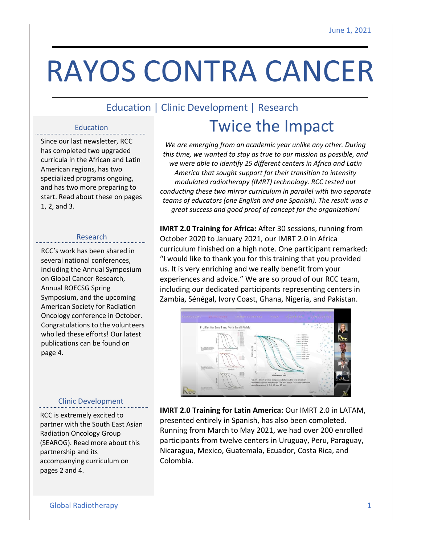# RAYOS CONTRA CANCER

### Education | Clinic Development | Research

### Education

Since our last newsletter, RCC has completed two upgraded curricula in the African and Latin American regions, has two specialized programs ongoing, and has two more preparing to start. Read about these on pages 1, 2, and 3.

### Research

RCC's work has been shared in several national conferences, including the Annual Symposium on Global Cancer Research, Annual ROECSG Spring Symposium, and the upcoming American Society for Radiation Oncology conference in October. Congratulations to the volunteers who led these efforts! Our latest publications can be found on page 4.

# Twice the Impact

*We are emerging from an academic year unlike any other. During this time, we wanted to stay as true to our mission as possible, and we were able to identify 25 different centers in Africa and Latin America that sought support for their transition to intensity modulated radiotherapy (IMRT) technology. RCC tested out conducting these two mirror curriculum in parallel with two separate teams of educators (one English and one Spanish). The result was a great success and good proof of concept for the organization!*

**IMRT 2.0 Training for Africa:** After 30 sessions, running from October 2020 to January 2021, our IMRT 2.0 in Africa curriculum finished on a high note. One participant remarked: "I would like to thank you for this training that you provided us. It is very enriching and we really benefit from your experiences and advice." We are so proud of our RCC team, including our dedicated participants representing centers in Zambia, Sénégal, Ivory Coast, Ghana, Nigeria, and Pakistan.



### Clinic Development

RCC is extremely excited to partner with the South East Asian Radiation Oncology Group (SEAROG). Read more about this partnership and its accompanying curriculum on pages 2 and 4.

**IMRT 2.0 Training for Latin America:** Our IMRT 2.0 in LATAM, presented entirely in Spanish, has also been completed. Running from March to May 2021, we had over 200 enrolled participants from twelve centers in Uruguay, Peru, Paraguay, Nicaragua, Mexico, Guatemala, Ecuador, Costa Rica, and Colombia.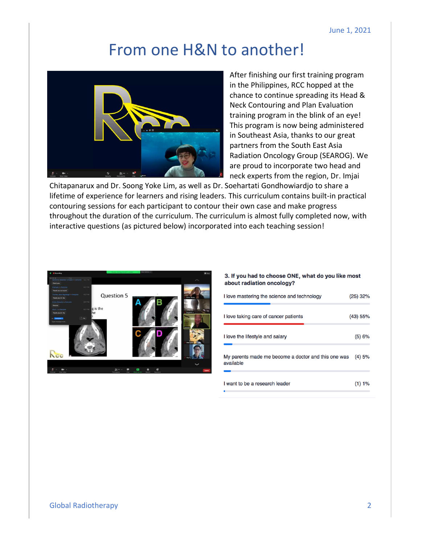### From one H&N to another!



After finishing our first training program in the Philippines, RCC hopped at the chance to continue spreading its Head & Neck Contouring and Plan Evaluation training program in the blink of an eye! This program is now being administered in Southeast Asia, thanks to our great partners from the South East Asia Radiation Oncology Group (SEAROG). We are proud to incorporate two head and neck experts from the region, Dr. Imjai

Chitapanarux and Dr. Soong Yoke Lim, as well as Dr. Soehartati Gondhowiardjo to share a lifetime of experience for learners and rising leaders. This curriculum contains built-in practical contouring sessions for each participant to contour their own case and make progress throughout the duration of the curriculum. The curriculum is almost fully completed now, with interactive questions (as pictured below) incorporated into each teaching session!



#### 3. If you had to choose ONE, what do you like most about radiation oncology?

| I love mastering the science and technology                      | $(25)$ 32% |
|------------------------------------------------------------------|------------|
| I love taking care of cancer patients                            | (43) 55%   |
| I love the lifestyle and salary                                  | (5)6%      |
| My parents made me become a doctor and this one was<br>available | (4)5%      |
| I want to be a research leader                                   | (1) 1%     |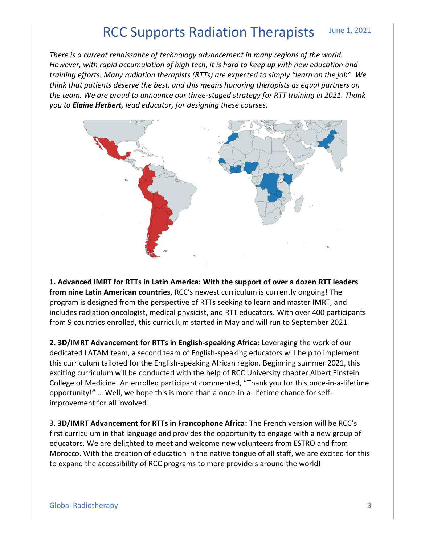#### June 1, 2021 RCC Supports Radiation Therapists

*There is a current renaissance of technology advancement in many regions of the world. However, with rapid accumulation of high tech, it is hard to keep up with new education and training efforts. Many radiation therapists (RTTs) are expected to simply "learn on the job". We think that patients deserve the best, and this means honoring therapists as equal partners on the team. We are proud to announce our three-staged strategy for RTT training in 2021. Thank you to Elaine Herbert, lead educator, for designing these courses.*



**1. Advanced IMRT for RTTs in Latin America: With the support of over a dozen RTT leaders from nine Latin American countries,** RCC's newest curriculum is currently ongoing! The program is designed from the perspective of RTTs seeking to learn and master IMRT, and includes radiation oncologist, medical physicist, and RTT educators. With over 400 participants from 9 countries enrolled, this curriculum started in May and will run to September 2021.

**2. 3D/IMRT Advancement for RTTs in English-speaking Africa:** Leveraging the work of our dedicated LATAM team, a second team of English-speaking educators will help to implement this curriculum tailored for the English-speaking African region. Beginning summer 2021, this exciting curriculum will be conducted with the help of RCC University chapter Albert Einstein College of Medicine. An enrolled participant commented, "Thank you for this once-in-a-lifetime opportunity!" … Well, we hope this is more than a once-in-a-lifetime chance for selfimprovement for all involved!

3. **3D/IMRT Advancement for RTTs in Francophone Africa:** The French version will be RCC's first curriculum in that language and provides the opportunity to engage with a new group of educators. We are delighted to meet and welcome new volunteers from ESTRO and from Morocco. With the creation of education in the native tongue of all staff, we are excited for this to expand the accessibility of RCC programs to more providers around the world!